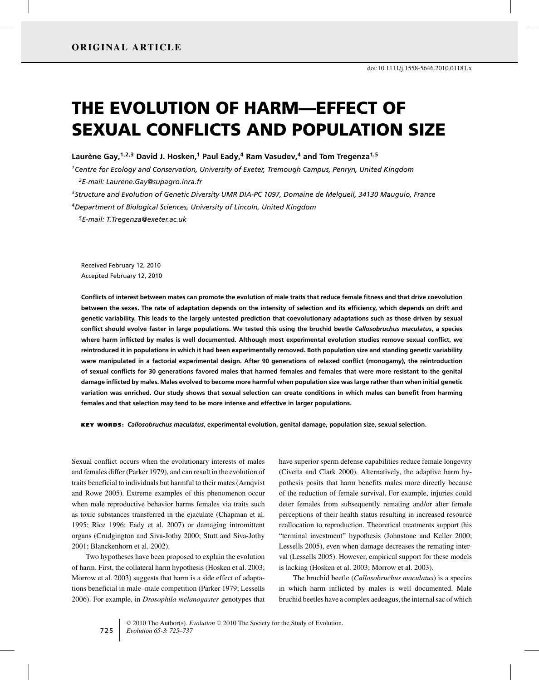# THE EVOLUTION OF HARM—EFFECT OF SEXUAL CONFLICTS AND POPULATION SIZE

**Laurene Gay, ` <sup>1</sup>,2,<sup>3</sup> David J. Hosken,<sup>1</sup> Paul Eady,<sup>4</sup> Ram Vasudev,<sup>4</sup> and Tom Tregenza1,<sup>5</sup>**

*1Centre for Ecology and Conservation, University of Exeter, Tremough Campus, Penryn, United Kingdom*

*2E-mail: Laurene.Gay@supagro.inra.fr*

*3Structure and Evolution of Genetic Diversity UMR DIA-PC 1097, Domaine de Melgueil, 34130 Mauguio, France*

*4Department of Biological Sciences, University of Lincoln, United Kingdom*

*5E-mail: T.Tregenza@exeter.ac.uk*

Received February 12, 2010 Accepted February 12, 2010

**Conflicts of interest between mates can promote the evolution of male traits that reduce female fitness and that drive coevolution between the sexes. The rate of adaptation depends on the intensity of selection and its efficiency, which depends on drift and genetic variability. This leads to the largely untested prediction that coevolutionary adaptations such as those driven by sexual conflict should evolve faster in large populations. We tested this using the bruchid beetle** *Callosobruchus maculatus***, a species where harm inflicted by males is well documented. Although most experimental evolution studies remove sexual conflict, we reintroduced it in populations in which it had been experimentally removed. Both population size and standing genetic variability were manipulated in a factorial experimental design. After 90 generations of relaxed conflict (monogamy), the reintroduction of sexual conflicts for 30 generations favored males that harmed females and females that were more resistant to the genital damage inflicted by males. Males evolved to become more harmful when population size was large rather than when initial genetic variation was enriched. Our study shows that sexual selection can create conditions in which males can benefit from harming females and that selection may tend to be more intense and effective in larger populations.**

KEY WORDS: *Callosobruchus maculatus***, experimental evolution, genital damage, population size, sexual selection.**

Sexual conflict occurs when the evolutionary interests of males and females differ (Parker 1979), and can result in the evolution of traits beneficial to individuals but harmful to their mates (Arnqvist and Rowe 2005). Extreme examples of this phenomenon occur when male reproductive behavior harms females via traits such as toxic substances transferred in the ejaculate (Chapman et al. 1995; Rice 1996; Eady et al. 2007) or damaging intromittent organs (Crudgington and Siva-Jothy 2000; Stutt and Siva-Jothy 2001; Blanckenhorn et al. 2002).

Two hypotheses have been proposed to explain the evolution of harm. First, the collateral harm hypothesis (Hosken et al. 2003; Morrow et al. 2003) suggests that harm is a side effect of adaptations beneficial in male–male competition (Parker 1979; Lessells 2006). For example, in *Drosophila melanogaster* genotypes that have superior sperm defense capabilities reduce female longevity (Civetta and Clark 2000). Alternatively, the adaptive harm hypothesis posits that harm benefits males more directly because of the reduction of female survival. For example, injuries could deter females from subsequently remating and/or alter female perceptions of their health status resulting in increased resource reallocation to reproduction. Theoretical treatments support this "terminal investment" hypothesis (Johnstone and Keller 2000; Lessells 2005), even when damage decreases the remating interval (Lessells 2005). However, empirical support for these models is lacking (Hosken et al. 2003; Morrow et al. 2003).

The bruchid beetle (*Callosobruchus maculatus*) is a species in which harm inflicted by males is well documented. Male bruchid beetles have a complex aedeagus, the internal sac of which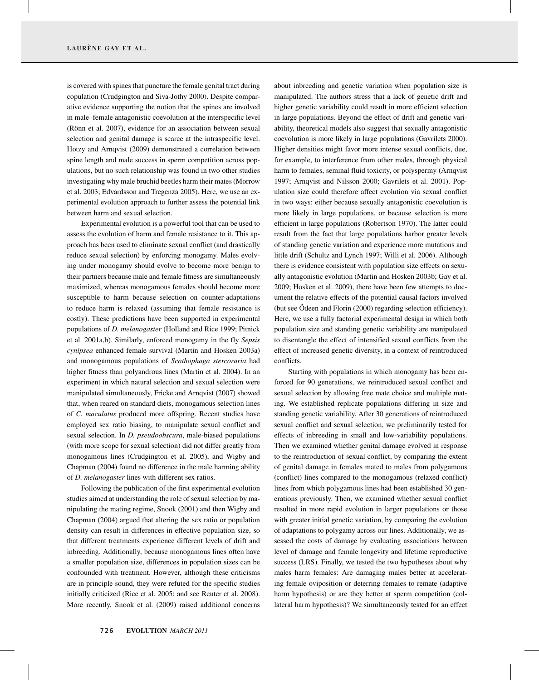is covered with spines that puncture the female genital tract during copulation (Crudgington and Siva-Jothy 2000). Despite comparative evidence supporting the notion that the spines are involved in male–female antagonistic coevolution at the interspecific level (Rönn et al.  $2007$ ), evidence for an association between sexual selection and genital damage is scarce at the intraspecific level. Hotzy and Arnqvist (2009) demonstrated a correlation between spine length and male success in sperm competition across populations, but no such relationship was found in two other studies investigating why male bruchid beetles harm their mates (Morrow et al. 2003; Edvardsson and Tregenza 2005). Here, we use an experimental evolution approach to further assess the potential link between harm and sexual selection.

Experimental evolution is a powerful tool that can be used to assess the evolution of harm and female resistance to it. This approach has been used to eliminate sexual conflict (and drastically reduce sexual selection) by enforcing monogamy. Males evolving under monogamy should evolve to become more benign to their partners because male and female fitness are simultaneously maximized, whereas monogamous females should become more susceptible to harm because selection on counter-adaptations to reduce harm is relaxed (assuming that female resistance is costly). These predictions have been supported in experimental populations of *D. melanogaster* (Holland and Rice 1999; Pitnick et al. 2001a,b). Similarly, enforced monogamy in the fly *Sepsis cynipsea* enhanced female survival (Martin and Hosken 2003a) and monogamous populations of *Scathophaga stercoraria* had higher fitness than polyandrous lines (Martin et al. 2004). In an experiment in which natural selection and sexual selection were manipulated simultaneously, Fricke and Arnqvist (2007) showed that, when reared on standard diets, monogamous selection lines of *C. maculatus* produced more offspring. Recent studies have employed sex ratio biasing, to manipulate sexual conflict and sexual selection. In *D. pseudoobscura*, male-biased populations (with more scope for sexual selection) did not differ greatly from monogamous lines (Crudgington et al. 2005), and Wigby and Chapman (2004) found no difference in the male harming ability of *D. melanogaster* lines with different sex ratios.

Following the publication of the first experimental evolution studies aimed at understanding the role of sexual selection by manipulating the mating regime, Snook (2001) and then Wigby and Chapman (2004) argued that altering the sex ratio or population density can result in differences in effective population size, so that different treatments experience different levels of drift and inbreeding. Additionally, because monogamous lines often have a smaller population size, differences in population sizes can be confounded with treatment. However, although these criticisms are in principle sound, they were refuted for the specific studies initially criticized (Rice et al. 2005; and see Reuter et al. 2008). More recently, Snook et al. (2009) raised additional concerns

manipulated. The authors stress that a lack of genetic drift and higher genetic variability could result in more efficient selection in large populations. Beyond the effect of drift and genetic variability, theoretical models also suggest that sexually antagonistic coevolution is more likely in large populations (Gavrilets 2000). Higher densities might favor more intense sexual conflicts, due, for example, to interference from other males, through physical harm to females, seminal fluid toxicity, or polyspermy (Arnqvist 1997; Arnqvist and Nilsson 2000; Gavrilets et al. 2001). Population size could therefore affect evolution via sexual conflict in two ways: either because sexually antagonistic coevolution is more likely in large populations, or because selection is more efficient in large populations (Robertson 1970). The latter could result from the fact that large populations harbor greater levels of standing genetic variation and experience more mutations and little drift (Schultz and Lynch 1997; Willi et al. 2006). Although there is evidence consistent with population size effects on sexually antagonistic evolution (Martin and Hosken 2003b; Gay et al. 2009; Hosken et al. 2009), there have been few attempts to document the relative effects of the potential causal factors involved (but see Ödeen and Florin  $(2000)$  regarding selection efficiency). Here, we use a fully factorial experimental design in which both population size and standing genetic variability are manipulated to disentangle the effect of intensified sexual conflicts from the effect of increased genetic diversity, in a context of reintroduced conflicts.

about inbreeding and genetic variation when population size is

Starting with populations in which monogamy has been enforced for 90 generations, we reintroduced sexual conflict and sexual selection by allowing free mate choice and multiple mating. We established replicate populations differing in size and standing genetic variability. After 30 generations of reintroduced sexual conflict and sexual selection, we preliminarily tested for effects of inbreeding in small and low-variability populations. Then we examined whether genital damage evolved in response to the reintroduction of sexual conflict, by comparing the extent of genital damage in females mated to males from polygamous (conflict) lines compared to the monogamous (relaxed conflict) lines from which polygamous lines had been established 30 generations previously. Then, we examined whether sexual conflict resulted in more rapid evolution in larger populations or those with greater initial genetic variation, by comparing the evolution of adaptations to polygamy across our lines. Additionally, we assessed the costs of damage by evaluating associations between level of damage and female longevity and lifetime reproductive success (LRS). Finally, we tested the two hypotheses about why males harm females: Are damaging males better at accelerating female oviposition or deterring females to remate (adaptive harm hypothesis) or are they better at sperm competition (collateral harm hypothesis)? We simultaneously tested for an effect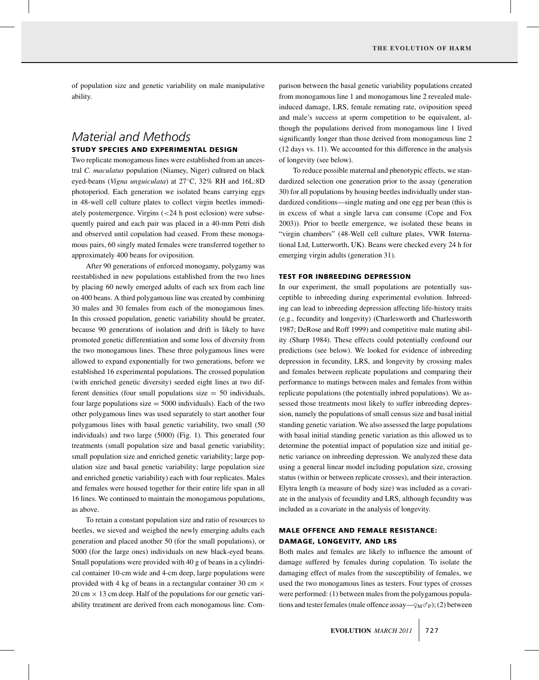of population size and genetic variability on male manipulative ability.

## *Material and Methods* STUDY SPECIES AND EXPERIMENTAL DESIGN

Two replicate monogamous lines were established from an ancestral *C. maculatus* population (Niamey, Niger) cultured on black eyed-beans (*Vigna unguiculata*) at 27◦C, 32% RH and 16L:8D photoperiod. Each generation we isolated beans carrying eggs in 48-well cell culture plates to collect virgin beetles immediately postemergence. Virgins (<24 h post eclosion) were subsequently paired and each pair was placed in a 40-mm Petri dish and observed until copulation had ceased. From these monogamous pairs, 60 singly mated females were transferred together to approximately 400 beans for oviposition.

After 90 generations of enforced monogamy, polygamy was reestablished in new populations established from the two lines by placing 60 newly emerged adults of each sex from each line on 400 beans. A third polygamous line was created by combining 30 males and 30 females from each of the monogamous lines. In this crossed population, genetic variability should be greater, because 90 generations of isolation and drift is likely to have promoted genetic differentiation and some loss of diversity from the two monogamous lines. These three polygamous lines were allowed to expand exponentially for two generations, before we established 16 experimental populations. The crossed population (with enriched genetic diversity) seeded eight lines at two different densities (four small populations size  $= 50$  individuals, four large populations size  $= 5000$  individuals). Each of the two other polygamous lines was used separately to start another four polygamous lines with basal genetic variability, two small (50 individuals) and two large (5000) (Fig. 1). This generated four treatments (small population size and basal genetic variability; small population size and enriched genetic variability; large population size and basal genetic variability; large population size and enriched genetic variability) each with four replicates. Males and females were housed together for their entire life span in all 16 lines. We continued to maintain the monogamous populations, as above.

To retain a constant population size and ratio of resources to beetles, we sieved and weighed the newly emerging adults each generation and placed another 50 (for the small populations), or 5000 (for the large ones) individuals on new black-eyed beans. Small populations were provided with 40 g of beans in a cylindrical container 10-cm wide and 4-cm deep, large populations were provided with 4 kg of beans in a rectangular container 30 cm ×  $20 \text{ cm} \times 13 \text{ cm}$  deep. Half of the populations for our genetic variability treatment are derived from each monogamous line. Comparison between the basal genetic variability populations created from monogamous line 1 and monogamous line 2 revealed maleinduced damage, LRS, female remating rate, oviposition speed and male's success at sperm competition to be equivalent, although the populations derived from monogamous line 1 lived significantly longer than those derived from monogamous line 2 (12 days vs. 11). We accounted for this difference in the analysis of longevity (see below).

To reduce possible maternal and phenotypic effects, we standardized selection one generation prior to the assay (generation 30) for all populations by housing beetles individually under standardized conditions—single mating and one egg per bean (this is in excess of what a single larva can consume (Cope and Fox 2003)). Prior to beetle emergence, we isolated these beans in "virgin chambers" (48-Well cell culture plates, VWR International Ltd, Lutterworth, UK). Beans were checked every 24 h for emerging virgin adults (generation 31).

## TEST FOR INBREEDING DEPRESSION

In our experiment, the small populations are potentially susceptible to inbreeding during experimental evolution. Inbreeding can lead to inbreeding depression affecting life-history traits (e.g., fecundity and longevity) (Charlesworth and Charlesworth 1987; DeRose and Roff 1999) and competitive male mating ability (Sharp 1984). These effects could potentially confound our predictions (see below). We looked for evidence of inbreeding depression in fecundity, LRS, and longevity by crossing males and females between replicate populations and comparing their performance to matings between males and females from within replicate populations (the potentially inbred populations). We assessed those treatments most likely to suffer inbreeding depression, namely the populations of small census size and basal initial standing genetic variation. We also assessed the large populations with basal initial standing genetic variation as this allowed us to determine the potential impact of population size and initial genetic variance on inbreeding depression. We analyzed these data using a general linear model including population size, crossing status (within or between replicate crosses), and their interaction. Elytra length (a measure of body size) was included as a covariate in the analysis of fecundity and LRS, although fecundity was included as a covariate in the analysis of longevity.

## MALE OFFENCE AND FEMALE RESISTANCE: DAMAGE, LONGEVITY, AND LRS

Both males and females are likely to influence the amount of damage suffered by females during copulation. To isolate the damaging effect of males from the susceptibility of females, we used the two monogamous lines as testers. Four types of crosses were performed: (1) between males from the polygamous populations and tester females (male offence assay— $\varphi_M \sigma_P$ ); (2) between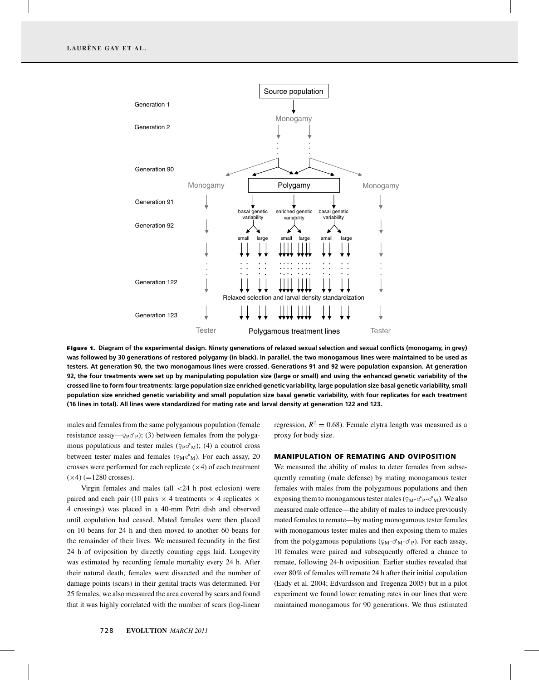

Figure 1. **Diagram of the experimental design. Ninety generations of relaxed sexual selection and sexual conflicts (monogamy, in grey) was followed by 30 generations of restored polygamy (in black). In parallel, the two monogamous lines were maintained to be used as testers. At generation 90, the two monogamous lines were crossed. Generations 91 and 92 were population expansion. At generation 92, the four treatments were set up by manipulating population size (large or small) and using the enhanced genetic variability of the crossed line to form four treatments: large population size enriched genetic variability, large population size basal genetic variability, small population size enriched genetic variability and small population size basal genetic variability, with four replicates for each treatment (16 lines in total). All lines were standardized for mating rate and larval density at generation 122 and 123.**

males and females from the same polygamous population (female resistance assay—♀ $P_P \sigma_P$ ); (3) between females from the polygamous populations and tester males ( $\varphi_P \sigma_M$ ); (4) a control cross between tester males and females ( $\varphi_M \circ_M$ ). For each assay, 20 crosses were performed for each replicate  $(x4)$  of each treatment  $(x4) (=1280$  crosses).

Virgin females and males (all <24 h post eclosion) were paired and each pair (10 pairs  $\times$  4 treatments  $\times$  4 replicates  $\times$ 4 crossings) was placed in a 40-mm Petri dish and observed until copulation had ceased. Mated females were then placed on 10 beans for 24 h and then moved to another 60 beans for the remainder of their lives. We measured fecundity in the first 24 h of oviposition by directly counting eggs laid. Longevity was estimated by recording female mortality every 24 h. After their natural death, females were dissected and the number of damage points (scars) in their genital tracts was determined. For 25 females, we also measured the area covered by scars and found that it was highly correlated with the number of scars (log-linear

regression,  $R^2 = 0.68$ ). Female elytra length was measured as a proxy for body size.

## MANIPULATION OF REMATING AND OVIPOSITION

We measured the ability of males to deter females from subsequently remating (male defense) by mating monogamous tester females with males from the polygamous populations and then exposing them to monogamous tester males ( $\varphi_M - \varphi_P - \varphi_M$ ). We also measured male offence—the ability of males to induce previously mated females to remate—by mating monogamous tester females with monogamous tester males and then exposing them to males from the polygamous populations  $(\varphi_M - \varphi_M - \varphi_P)$ . For each assay, 10 females were paired and subsequently offered a chance to remate, following 24-h oviposition. Earlier studies revealed that over 80% of females will remate 24 h after their initial copulation (Eady et al. 2004; Edvardsson and Tregenza 2005) but in a pilot experiment we found lower remating rates in our lines that were maintained monogamous for 90 generations. We thus estimated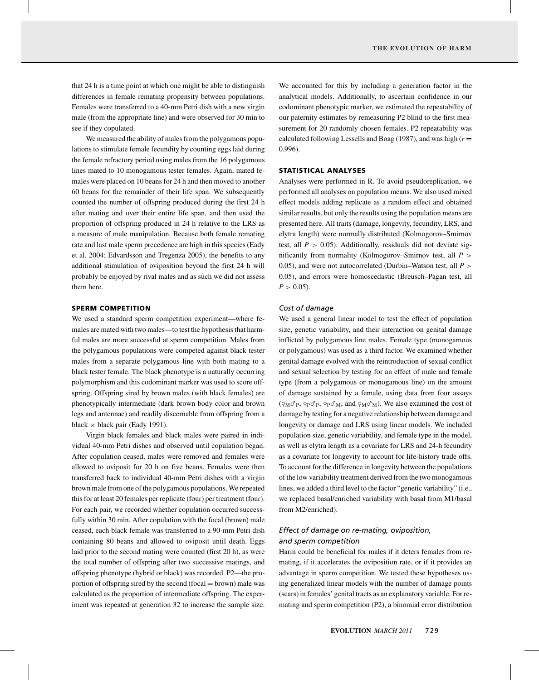that 24 h is a time point at which one might be able to distinguish differences in female remating propensity between populations. Females were transferred to a 40-mm Petri dish with a new virgin male (from the appropriate line) and were observed for 30 min to see if they copulated.

We measured the ability of males from the polygamous populations to stimulate female fecundity by counting eggs laid during the female refractory period using males from the 16 polygamous lines mated to 10 monogamous tester females. Again, mated females were placed on 10 beans for 24 h and then moved to another 60 beans for the remainder of their life span. We subsequently counted the number of offspring produced during the first 24 h after mating and over their entire life span, and then used the proportion of offspring produced in 24 h relative to the LRS as a measure of male manipulation. Because both female remating rate and last male sperm precedence are high in this species (Eady et al. 2004; Edvardsson and Tregenza 2005), the benefits to any additional stimulation of oviposition beyond the first 24 h will probably be enjoyed by rival males and as such we did not assess them here.

#### SPERM COMPETITION

We used a standard sperm competition experiment—where females are mated with two males—to test the hypothesis that harmful males are more successful at sperm competition. Males from the polygamous populations were competed against black tester males from a separate polygamous line with both mating to a black tester female. The black phenotype is a naturally occurring polymorphism and this codominant marker was used to score offspring. Offspring sired by brown males (with black females) are phenotypically intermediate (dark brown body color and brown legs and antennae) and readily discernable from offspring from a black  $\times$  black pair (Eady 1991).

Virgin black females and black males were paired in individual 40-mm Petri dishes and observed until copulation began. After copulation ceased, males were removed and females were allowed to oviposit for 20 h on five beans. Females were then transferred back to individual 40-mm Petri dishes with a virgin brown male from one of the polygamous populations. We repeated this for at least 20 females per replicate (four) per treatment (four). For each pair, we recorded whether copulation occurred successfully within 30 min. After copulation with the focal (brown) male ceased, each black female was transferred to a 90-mm Petri dish containing 80 beans and allowed to oviposit until death. Eggs laid prior to the second mating were counted (first 20 h), as were the total number of offspring after two successive matings, and offspring phenotype (hybrid or black) was recorded. P2—the proportion of offspring sired by the second (focal  $=$  brown) male was calculated as the proportion of intermediate offspring. The experiment was repeated at generation 32 to increase the sample size.

We accounted for this by including a generation factor in the analytical models. Additionally, to ascertain confidence in our codominant phenotypic marker, we estimated the repeatability of our paternity estimates by remeasuring P2 blind to the first measurement for 20 randomly chosen females. P2 repeatability was calculated following Lessells and Boag (1987), and was high  $(r =$ 0.996).

## STATISTICAL ANALYSES

Analyses were performed in R. To avoid pseudoreplication, we performed all analyses on population means. We also used mixed effect models adding replicate as a random effect and obtained similar results, but only the results using the population means are presented here. All traits (damage, longevity, fecundity, LRS, and elytra length) were normally distributed (Kolmogorov–Smirnov test, all  $P > 0.05$ ). Additionally, residuals did not deviate significantly from normality (Kolmogorov–Smirnov test, all *P* > 0.05), and were not autocorrelated (Durbin–Watson test, all *P* > 0.05), and errors were homoscedastic (Breusch–Pagan test, all  $P > 0.05$ .

## *Cost of damage*

We used a general linear model to test the effect of population size, genetic variability, and their interaction on genital damage inflicted by polygamous line males. Female type (monogamous or polygamous) was used as a third factor. We examined whether genital damage evolved with the reintroduction of sexual conflict and sexual selection by testing for an effect of male and female type (from a polygamous or monogamous line) on the amount of damage sustained by a female, using data from four assays  $(\mathcal{Q}_M \circ^{\mathsf{P}}_{P}, \mathcal{Q}_P \circ^{\mathsf{P}}_{P}, \mathcal{Q}_P \circ^{\mathsf{P}}_{P}, \mathcal{Q}_P \circ^{\mathsf{P}}_{P}, \mathcal{Q}_P \circ^{\mathsf{P}}_{P}, \mathcal{Q}_P \circ^{\mathsf{P}}_{P}, \mathcal{Q}_P \circ^{\mathsf{P}}_{P}, \mathcal{Q}_P \circ^{\mathsf{P}}_{P}, \mathcal{Q}_P \circ^{\mathsf{P}}_{P}, \mathcal{Q}_P \circ^{\mathsf{P}}_{P}, \mathcal{Q}_P \circ^{\mathsf{P}}_{P}, \mathcal{Q}_P \circ^{\$ damage by testing for a negative relationship between damage and longevity or damage and LRS using linear models. We included population size, genetic variability, and female type in the model, as well as elytra length as a covariate for LRS and 24-h fecundity as a covariate for longevity to account for life-history trade offs. To account for the difference in longevity between the populations of the low variability treatment derived from the two monogamous lines, we added a third level to the factor "genetic variability" (i.e., we replaced basal/enriched variability with basal from M1/basal from M2/enriched).

## *Effect of damage on re-mating, oviposition, and sperm competition*

Harm could be beneficial for males if it deters females from remating, if it accelerates the oviposition rate, or if it provides an advantage in sperm competition. We tested these hypotheses using generalized linear models with the number of damage points (scars) in females' genital tracts as an explanatory variable. For remating and sperm competition (P2), a binomial error distribution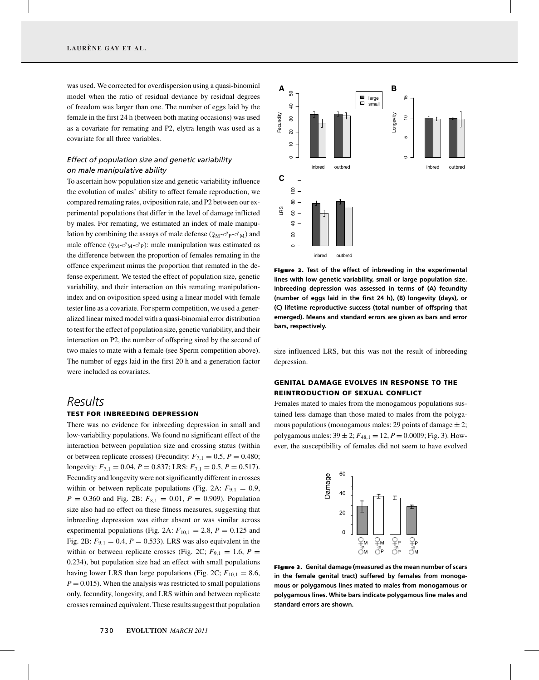was used. We corrected for overdispersion using a quasi-binomial model when the ratio of residual deviance by residual degrees of freedom was larger than one. The number of eggs laid by the female in the first 24 h (between both mating occasions) was used as a covariate for remating and P2, elytra length was used as a covariate for all three variables.

## *Effect of population size and genetic variability on male manipulative ability*

To ascertain how population size and genetic variability influence the evolution of males' ability to affect female reproduction, we compared remating rates, oviposition rate, and P2 between our experimental populations that differ in the level of damage inflicted by males. For remating, we estimated an index of male manipulation by combining the assays of male defense ( $\varphi_M - \varphi_P - \varphi_M$ ) and male offence ( $Q_M - \sigma_M - \sigma_P$ ): male manipulation was estimated as the difference between the proportion of females remating in the offence experiment minus the proportion that remated in the defense experiment. We tested the effect of population size, genetic variability, and their interaction on this remating manipulationindex and on oviposition speed using a linear model with female tester line as a covariate. For sperm competition, we used a generalized linear mixed model with a quasi-binomial error distribution to test for the effect of population size, genetic variability, and their interaction on P2, the number of offspring sired by the second of two males to mate with a female (see Sperm competition above). The number of eggs laid in the first 20 h and a generation factor were included as covariates.

## *Results* TEST FOR INBREEDING DEPRESSION

There was no evidence for inbreeding depression in small and low-variability populations. We found no significant effect of the interaction between population size and crossing status (within or between replicate crosses) (Fecundity:  $F_{7,1} = 0.5$ ,  $P = 0.480$ ; longevity:  $F_{7,1} = 0.04$ ,  $P = 0.837$ ; LRS:  $F_{7,1} = 0.5$ ,  $P = 0.517$ ). Fecundity and longevity were not significantly different in crosses within or between replicate populations (Fig. 2A:  $F_{9,1} = 0.9$ , *P* = 0.360 and Fig. 2B: *F*8,<sup>1</sup> = 0.01, *P* = 0.909). Population size also had no effect on these fitness measures, suggesting that inbreeding depression was either absent or was similar across experimental populations (Fig. 2A:  $F_{10,1} = 2.8$ ,  $P = 0.125$  and Fig. 2B:  $F_{9,1} = 0.4, P = 0.533$ ). LRS was also equivalent in the within or between replicate crosses (Fig. 2C;  $F_{9,1} = 1.6$ ,  $P =$ 0.234), but population size had an effect with small populations having lower LRS than large populations (Fig. 2C;  $F_{10,1} = 8.6$ ,  $P = 0.015$ . When the analysis was restricted to small populations only, fecundity, longevity, and LRS within and between replicate crosses remained equivalent. These results suggest that population



Figure 2. **Test of the effect of inbreeding in the experimental lines with low genetic variability, small or large population size. Inbreeding depression was assessed in terms of (A) fecundity (number of eggs laid in the first 24 h), (B) longevity (days), or (C) lifetime reproductive success (total number of offspring that emerged). Means and standard errors are given as bars and error bars, respectively.**

size influenced LRS, but this was not the result of inbreeding depression.

## GENITAL DAMAGE EVOLVES IN RESPONSE TO THE REINTRODUCTION OF SEXUAL CONFLICT

Females mated to males from the monogamous populations sustained less damage than those mated to males from the polygamous populations (monogamous males: 29 points of damage  $\pm$  2; polygamous males:  $39 \pm 2$ ;  $F_{48,1} = 12$ ,  $P = 0.0009$ ; Fig. 3). However, the susceptibility of females did not seem to have evolved



Figure 3. **Genital damage (measured as the mean number of scars in the female genital tract) suffered by females from monogamous or polygamous lines mated to males from monogamous or polygamous lines. White bars indicate polygamous line males and standard errors are shown.**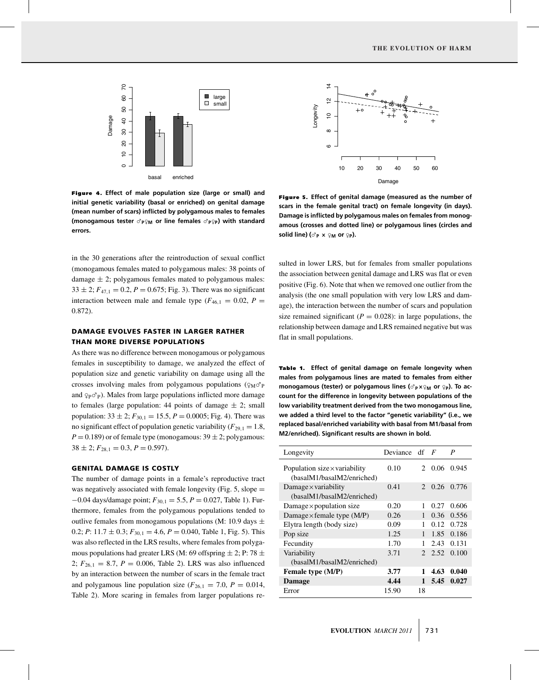

Figure 4. **Effect of male population size (large or small) and initial genetic variability (basal or enriched) on genital damage (mean number of scars) inflicted by polygamous males to females (monogamous tester** ♂**P**♀**<sup>M</sup> or line females** ♂**P**♀**P) with standard errors.**

in the 30 generations after the reintroduction of sexual conflict (monogamous females mated to polygamous males: 38 points of damage  $\pm$  2; polygamous females mated to polygamous males:  $33 \pm 2$ ;  $F_{47,1} = 0.2$ ,  $P = 0.675$ ; Fig. 3). There was no significant interaction between male and female type ( $F_{46,1} = 0.02$ ,  $P =$ 0.872).

## DAMAGE EVOLVES FASTER IN LARGER RATHER THAN MORE DIVERSE POPULATIONS

As there was no difference between monogamous or polygamous females in susceptibility to damage, we analyzed the effect of population size and genetic variability on damage using all the crosses involving males from polygamous populations  $(\varphi_M \circ \varphi_P)$ and  $\varphi_P \sigma_P$ ). Males from large populations inflicted more damage to females (large population: 44 points of damage  $\pm$  2; small population:  $33 \pm 2$ ;  $F_{30,1} = 15.5$ ,  $P = 0.0005$ ; Fig. 4). There was no significant effect of population genetic variability ( $F_{29,1} = 1.8$ ,  $P = 0.189$  or of female type (monogamous:  $39 \pm 2$ ; polygamous:  $38 \pm 2$ ;  $F_{28,1} = 0.3$ ,  $P = 0.597$ ).

#### GENITAL DAMAGE IS COSTLY

The number of damage points in a female's reproductive tract was negatively associated with female longevity (Fig.  $5$ , slope  $=$ −0.04 days/damage point; *F*30,<sup>1</sup> = 5.5, *P* = 0.027, Table 1). Furthermore, females from the polygamous populations tended to outlive females from monogamous populations (M: 10.9 days  $\pm$ 0.2; *P*:  $11.7 \pm 0.3$ ;  $F_{30,1} = 4.6$ ,  $P = 0.040$ , Table 1, Fig. 5). This was also reflected in the LRS results, where females from polygamous populations had greater LRS (M: 69 offspring  $\pm$  2; P: 78  $\pm$ 2;  $F_{26,1} = 8.7$ ,  $P = 0.006$ , Table 2). LRS was also influenced by an interaction between the number of scars in the female tract and polygamous line population size  $(F_{26,1} = 7.0, P = 0.014,$ Table 2). More scaring in females from larger populations re-



Figure 5. **Effect of genital damage (measured as the number of scars in the female genital tract) on female longevity (in days). Damage is inflicted by polygamous males on females from monogamous (crosses and dotted line) or polygamous lines (circles and solid line)** ( $\sigma$ **P**  $\times$   $\Omega$ **M or**  $\Omega$ **P**).

sulted in lower LRS, but for females from smaller populations the association between genital damage and LRS was flat or even positive (Fig. 6). Note that when we removed one outlier from the analysis (the one small population with very low LRS and damage), the interaction between the number of scars and population size remained significant  $(P = 0.028)$ : in large populations, the relationship between damage and LRS remained negative but was flat in small populations.

Table 1. Effect of genital damage on female longevity when **males from polygamous lines are mated to females from either monogamous (tester) or polygamous lines (♂<b>P×**♀**M** or ♀**P**). To ac**count for the difference in longevity between populations of the low variability treatment derived from the two monogamous line, we added a third level to the factor "genetic variability" (i.e., we replaced basal/enriched variability with basal from M1/basal from M2/enriched). Significant results are shown in bold.**

| Longevity                                                   | Deviance df |                | $\overline{F}$ | P     |
|-------------------------------------------------------------|-------------|----------------|----------------|-------|
| Population size x variability<br>(basalM1/basalM2/enriched) | 0.10        | $\mathfrak{D}$ | 0.06           | 0.945 |
| Damage $\times$ variability<br>(basalM1/basalM2/enriched)   | 0.41        | $\mathfrak{D}$ | 0.26           | 0.776 |
| Damage $\times$ population size                             | 0.20        | 1              | 0.27           | 0.606 |
| Damage $\times$ female type (M/P)                           | 0.26        | 1              | 0.36           | 0.556 |
| Elytra length (body size)                                   | 0.09        | 1              | 0.12           | 0.728 |
| Pop size                                                    | 1.25        | 1              | 1.85           | 0.186 |
| Fecundity                                                   | 1.70        | 1              | 2.43           | 0.131 |
| Variability<br>(basalM1/basalM2/enriched)                   | 3.71        | $\mathfrak{D}$ | 2.52           | 0.100 |
| Female type (M/P)                                           | 3.77        | 1              | 4.63           | 0.040 |
| <b>Damage</b>                                               | 4.44        | 1              | 5.45           | 0.027 |
| Error                                                       | 15.90       | 18             |                |       |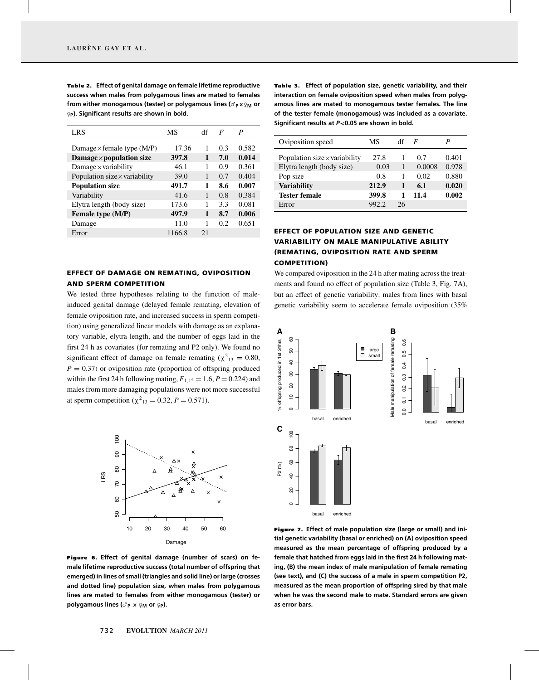| <b>Table 2.</b> Effect of genital damage on female lifetime reproductive                               |
|--------------------------------------------------------------------------------------------------------|
| success when males from polygamous lines are mated to females                                          |
| from either monogamous (tester) or polygamous lines ( $\sigma$ <sub>P</sub> × $\Omega$ <sub>M</sub> or |
| <sub>♀</sub> , Significant results are shown in bold.                                                  |
|                                                                                                        |

| <b>LRS</b>                           | MS     | df | F   | P     |
|--------------------------------------|--------|----|-----|-------|
| Damage $\times$ female type (M/P)    | 17.36  | 1  | 0.3 | 0.582 |
| Damage×population size               | 397.8  | 1  | 7.0 | 0.014 |
| $Damage \times variability$          | 46.1   | 1  | 0.9 | 0.361 |
| Population size $\times$ variability | 39.0   | 1  | 0.7 | 0.404 |
| <b>Population size</b>               | 491.7  | 1  | 8.6 | 0.007 |
| Variability                          | 41.6   | 1  | 0.8 | 0.384 |
| Elytra length (body size)            | 173.6  | 1  | 3.3 | 0.081 |
| Female type (M/P)                    | 497.9  | 1  | 8.7 | 0.006 |
| Damage                               | 11.0   | 1  | 0.2 | 0.651 |
| Error                                | 1166.8 | 21 |     |       |

## EFFECT OF DAMAGE ON REMATING, OVIPOSITION AND SPERM COMPETITION

We tested three hypotheses relating to the function of maleinduced genital damage (delayed female remating, elevation of female oviposition rate, and increased success in sperm competition) using generalized linear models with damage as an explanatory variable, elytra length, and the number of eggs laid in the first 24 h as covariates (for remating and P2 only). We found no significant effect of damage on female remating ( $\chi^2_{13} = 0.80$ ,  $P = 0.37$ ) or oviposition rate (proportion of offspring produced within the first 24 h following mating,  $F_{1,15} = 1.6$ ,  $P = 0.224$ ) and males from more damaging populations were not more successful at sperm competition ( $\chi^2_{13} = 0.32, P = 0.571$ ).



Figure 6. **Effect of genital damage (number of scars) on female lifetime reproductive success (total number of offspring that emerged) in lines of small (triangles and solid line) or large (crosses and dotted line) population size, when males from polygamous lines are mated to females from either monogamous (tester) or polygamous lines (**♂**P**  $\times$  ♀**M** or ♀**P**).

Table 3. Effect of population size, genetic variability, and their **interaction on female oviposition speed when males from polygamous lines are mated to monogamous tester females. The line of the tester female (monogamous) was included as a covariate. Significant results at** *P***<0.05 are shown in bold.**

| Oviposition speed             | МS    | df | F      |       |
|-------------------------------|-------|----|--------|-------|
| Population size x variability | 27.8  |    | 0.7    | 0.401 |
| Elytra length (body size)     | 0.03  | 1  | 0.0008 | 0.978 |
| Pop size                      | 0.8   |    | 0.02   | 0.880 |
| <b>Variability</b>            | 212.9 | 1  | 6.1    | 0.020 |
| <b>Tester female</b>          | 399.8 | 1  | 11.4   | 0.002 |
| Error                         | 992.2 | 26 |        |       |
|                               |       |    |        |       |

## EFFECT OF POPULATION SIZE AND GENETIC VARIABILITY ON MALE MANIPULATIVE ABILITY (REMATING, OVIPOSITION RATE AND SPERM COMPETITION)

We compared oviposition in the 24 h after mating across the treatments and found no effect of population size (Table 3, Fig. 7A), but an effect of genetic variability: males from lines with basal genetic variability seem to accelerate female oviposition (35%



Figure 7. **Effect of male population size (large or small) and initial genetic variability (basal or enriched) on (A) oviposition speed measured as the mean percentage of offspring produced by a female that hatched from eggs laid in the first 24 h following mating, (B) the mean index of male manipulation of female remating (see text), and (C) the success of a male in sperm competition P2, measured as the mean proportion of offspring sired by that male when he was the second male to mate. Standard errors are given as error bars.**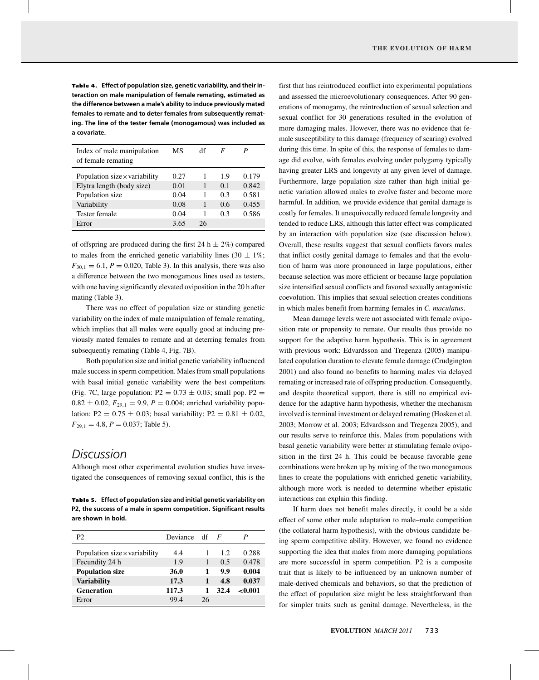Table 4. Effect of population size, genetic variability, and their in**teraction on male manipulation of female remating, estimated as the difference between a male's ability to induce previously mated females to remate and to deter females from subsequently remating. The line of the tester female (monogamous) was included as a covariate.**

| Index of male manipulation<br>of female remating | МS   | df | F   | Р     |
|--------------------------------------------------|------|----|-----|-------|
| Population size $\times$ variability             | 0.27 | 1  | 1.9 | 0.179 |
| Elytra length (body size)                        | 0.01 | 1  | 0.1 | 0.842 |
| Population size                                  | 0.04 | 1  | 0.3 | 0.581 |
| Variability                                      | 0.08 | 1  | 0.6 | 0.455 |
| Tester female                                    | 0.04 | 1  | 0.3 | 0.586 |
| Error                                            | 3.65 | 26 |     |       |
|                                                  |      |    |     |       |

of offspring are produced during the first 24 h  $\pm$  2%) compared to males from the enriched genetic variability lines (30  $\pm$  1%;  $F_{30,1} = 6.1, P = 0.020,$  Table 3). In this analysis, there was also a difference between the two monogamous lines used as testers, with one having significantly elevated oviposition in the 20 h after mating (Table 3).

There was no effect of population size or standing genetic variability on the index of male manipulation of female remating, which implies that all males were equally good at inducing previously mated females to remate and at deterring females from subsequently remating (Table 4, Fig. 7B).

Both population size and initial genetic variability influenced male success in sperm competition. Males from small populations with basal initial genetic variability were the best competitors (Fig. 7C, large population:  $P2 = 0.73 \pm 0.03$ ; small pop.  $P2 =$  $0.82 \pm 0.02$ ,  $F_{29,1} = 9.9$ ,  $P = 0.004$ ; enriched variability population: P2 =  $0.75 \pm 0.03$ ; basal variability: P2 =  $0.81 \pm 0.02$ ,  $F_{29,1} = 4.8, P = 0.037$ ; Table 5).

# *Discussion*

Although most other experimental evolution studies have investigated the consequences of removing sexual conflict, this is the

Table 5. Effect of population size and initial genetic variability on **P2, the success of a male in sperm competition. Significant results are shown in bold.**

| P <sub>2</sub>                       | Deviance df $F$ |    |      |         |
|--------------------------------------|-----------------|----|------|---------|
| Population size $\times$ variability | 4.4             |    | 12   | 0.288   |
| Fecundity 24 h                       | 1.9             |    | 0.5  | 0.478   |
| <b>Population size</b>               | 36.0            | 1  | 9.9  | 0.004   |
| <b>Variability</b>                   | 17.3            | 1  | 4.8  | 0.037   |
| <b>Generation</b>                    | 117.3           |    | 32.4 | < 0.001 |
| Error                                | 99.4            | 26 |      |         |

first that has reintroduced conflict into experimental populations and assessed the microevolutionary consequences. After 90 generations of monogamy, the reintroduction of sexual selection and sexual conflict for 30 generations resulted in the evolution of more damaging males. However, there was no evidence that female susceptibility to this damage (frequency of scaring) evolved during this time. In spite of this, the response of females to damage did evolve, with females evolving under polygamy typically having greater LRS and longevity at any given level of damage. Furthermore, large population size rather than high initial genetic variation allowed males to evolve faster and become more harmful. In addition, we provide evidence that genital damage is costly for females. It unequivocally reduced female longevity and tended to reduce LRS, although this latter effect was complicated by an interaction with population size (see discussion below). Overall, these results suggest that sexual conflicts favors males that inflict costly genital damage to females and that the evolution of harm was more pronounced in large populations, either because selection was more efficient or because large population size intensified sexual conflicts and favored sexually antagonistic coevolution. This implies that sexual selection creates conditions in which males benefit from harming females in *C. maculatus*.

Mean damage levels were not associated with female oviposition rate or propensity to remate. Our results thus provide no support for the adaptive harm hypothesis. This is in agreement with previous work: Edvardsson and Tregenza (2005) manipulated copulation duration to elevate female damage (Crudgington 2001) and also found no benefits to harming males via delayed remating or increased rate of offspring production. Consequently, and despite theoretical support, there is still no empirical evidence for the adaptive harm hypothesis, whether the mechanism involved is terminal investment or delayed remating (Hosken et al. 2003; Morrow et al. 2003; Edvardsson and Tregenza 2005), and our results serve to reinforce this. Males from populations with basal genetic variability were better at stimulating female oviposition in the first 24 h. This could be because favorable gene combinations were broken up by mixing of the two monogamous lines to create the populations with enriched genetic variability, although more work is needed to determine whether epistatic interactions can explain this finding.

If harm does not benefit males directly, it could be a side effect of some other male adaptation to male–male competition (the collateral harm hypothesis), with the obvious candidate being sperm competitive ability. However, we found no evidence supporting the idea that males from more damaging populations are more successful in sperm competition. P2 is a composite trait that is likely to be influenced by an unknown number of male-derived chemicals and behaviors, so that the prediction of the effect of population size might be less straightforward than for simpler traits such as genital damage. Nevertheless, in the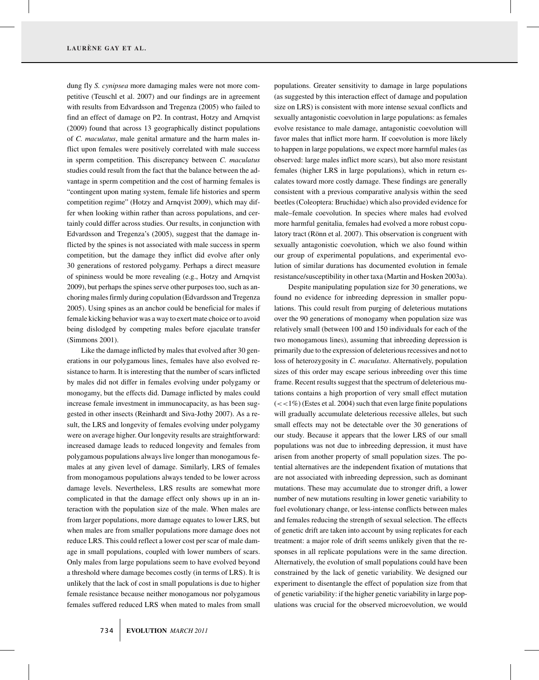dung fly *S. cynipsea* more damaging males were not more competitive (Teuschl et al. 2007) and our findings are in agreement with results from Edvardsson and Tregenza (2005) who failed to find an effect of damage on P2. In contrast, Hotzy and Arnqvist (2009) found that across 13 geographically distinct populations of *C. maculatus*, male genital armature and the harm males inflict upon females were positively correlated with male success in sperm competition. This discrepancy between *C. maculatus* studies could result from the fact that the balance between the advantage in sperm competition and the cost of harming females is "contingent upon mating system, female life histories and sperm competition regime" (Hotzy and Arnqvist 2009), which may differ when looking within rather than across populations, and certainly could differ across studies. Our results, in conjunction with Edvardsson and Tregenza's (2005), suggest that the damage inflicted by the spines is not associated with male success in sperm competition, but the damage they inflict did evolve after only 30 generations of restored polygamy. Perhaps a direct measure of spininess would be more revealing (e.g., Hotzy and Arnqvist 2009), but perhaps the spines serve other purposes too, such as anchoring males firmly during copulation (Edvardsson and Tregenza 2005). Using spines as an anchor could be beneficial for males if female kicking behavior was a way to exert mate choice or to avoid being dislodged by competing males before ejaculate transfer (Simmons 2001).

Like the damage inflicted by males that evolved after 30 generations in our polygamous lines, females have also evolved resistance to harm. It is interesting that the number of scars inflicted by males did not differ in females evolving under polygamy or monogamy, but the effects did. Damage inflicted by males could increase female investment in immunocapacity, as has been suggested in other insects (Reinhardt and Siva-Jothy 2007). As a result, the LRS and longevity of females evolving under polygamy were on average higher. Our longevity results are straightforward: increased damage leads to reduced longevity and females from polygamous populations always live longer than monogamous females at any given level of damage. Similarly, LRS of females from monogamous populations always tended to be lower across damage levels. Nevertheless, LRS results are somewhat more complicated in that the damage effect only shows up in an interaction with the population size of the male. When males are from larger populations, more damage equates to lower LRS, but when males are from smaller populations more damage does not reduce LRS. This could reflect a lower cost per scar of male damage in small populations, coupled with lower numbers of scars. Only males from large populations seem to have evolved beyond a threshold where damage becomes costly (in terms of LRS). It is unlikely that the lack of cost in small populations is due to higher female resistance because neither monogamous nor polygamous females suffered reduced LRS when mated to males from small (as suggested by this interaction effect of damage and population size on LRS) is consistent with more intense sexual conflicts and sexually antagonistic coevolution in large populations: as females evolve resistance to male damage, antagonistic coevolution will favor males that inflict more harm. If coevolution is more likely to happen in large populations, we expect more harmful males (as observed: large males inflict more scars), but also more resistant females (higher LRS in large populations), which in return escalates toward more costly damage. These findings are generally consistent with a previous comparative analysis within the seed beetles (Coleoptera: Bruchidae) which also provided evidence for male–female coevolution. In species where males had evolved more harmful genitalia, females had evolved a more robust copulatory tract (Rönn et al. 2007). This observation is congruent with sexually antagonistic coevolution, which we also found within our group of experimental populations, and experimental evolution of similar durations has documented evolution in female resistance/susceptibility in other taxa (Martin and Hosken 2003a).

populations. Greater sensitivity to damage in large populations

Despite manipulating population size for 30 generations, we found no evidence for inbreeding depression in smaller populations. This could result from purging of deleterious mutations over the 90 generations of monogamy when population size was relatively small (between 100 and 150 individuals for each of the two monogamous lines), assuming that inbreeding depression is primarily due to the expression of deleterious recessives and not to loss of heterozygosity in *C. maculatus*. Alternatively, population sizes of this order may escape serious inbreeding over this time frame. Recent results suggest that the spectrum of deleterious mutations contains a high proportion of very small effect mutation  $(<$  < 1%) (Estes et al. 2004) such that even large finite populations will gradually accumulate deleterious recessive alleles, but such small effects may not be detectable over the 30 generations of our study. Because it appears that the lower LRS of our small populations was not due to inbreeding depression, it must have arisen from another property of small population sizes. The potential alternatives are the independent fixation of mutations that are not associated with inbreeding depression, such as dominant mutations. These may accumulate due to stronger drift, a lower number of new mutations resulting in lower genetic variability to fuel evolutionary change, or less-intense conflicts between males and females reducing the strength of sexual selection. The effects of genetic drift are taken into account by using replicates for each treatment: a major role of drift seems unlikely given that the responses in all replicate populations were in the same direction. Alternatively, the evolution of small populations could have been constrained by the lack of genetic variability. We designed our experiment to disentangle the effect of population size from that of genetic variability: if the higher genetic variability in large populations was crucial for the observed microevolution, we would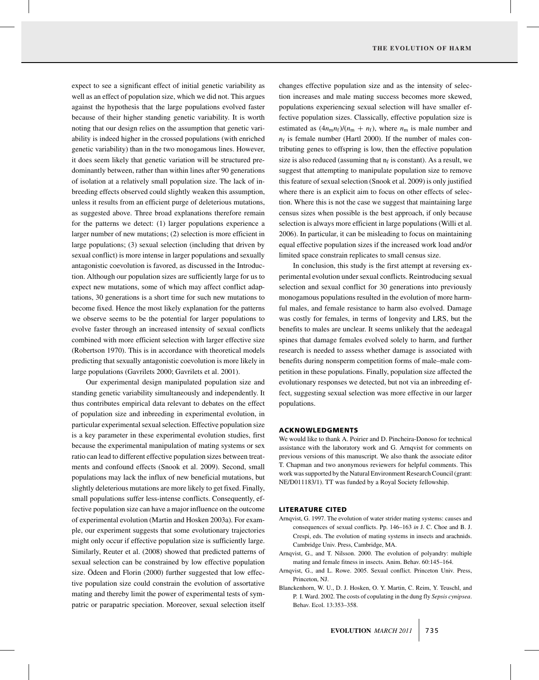expect to see a significant effect of initial genetic variability as well as an effect of population size, which we did not. This argues against the hypothesis that the large populations evolved faster because of their higher standing genetic variability. It is worth noting that our design relies on the assumption that genetic variability is indeed higher in the crossed populations (with enriched genetic variability) than in the two monogamous lines. However, it does seem likely that genetic variation will be structured predominantly between, rather than within lines after 90 generations of isolation at a relatively small population size. The lack of inbreeding effects observed could slightly weaken this assumption, unless it results from an efficient purge of deleterious mutations, as suggested above. Three broad explanations therefore remain for the patterns we detect: (1) larger populations experience a larger number of new mutations; (2) selection is more efficient in large populations; (3) sexual selection (including that driven by sexual conflict) is more intense in larger populations and sexually antagonistic coevolution is favored, as discussed in the Introduction. Although our population sizes are sufficiently large for us to expect new mutations, some of which may affect conflict adaptations, 30 generations is a short time for such new mutations to become fixed. Hence the most likely explanation for the patterns we observe seems to be the potential for larger populations to evolve faster through an increased intensity of sexual conflicts combined with more efficient selection with larger effective size (Robertson 1970). This is in accordance with theoretical models predicting that sexually antagonistic coevolution is more likely in large populations (Gavrilets 2000; Gavrilets et al. 2001).

Our experimental design manipulated population size and standing genetic variability simultaneously and independently. It thus contributes empirical data relevant to debates on the effect of population size and inbreeding in experimental evolution, in particular experimental sexual selection. Effective population size is a key parameter in these experimental evolution studies, first because the experimental manipulation of mating systems or sex ratio can lead to different effective population sizes between treatments and confound effects (Snook et al. 2009). Second, small populations may lack the influx of new beneficial mutations, but slightly deleterious mutations are more likely to get fixed. Finally, small populations suffer less-intense conflicts. Consequently, effective population size can have a major influence on the outcome of experimental evolution (Martin and Hosken 2003a). For example, our experiment suggests that some evolutionary trajectories might only occur if effective population size is sufficiently large. Similarly, Reuter et al. (2008) showed that predicted patterns of sexual selection can be constrained by low effective population size. Ödeen and Florin (2000) further suggested that low effective population size could constrain the evolution of assortative mating and thereby limit the power of experimental tests of sympatric or parapatric speciation. Moreover, sexual selection itself changes effective population size and as the intensity of selection increases and male mating success becomes more skewed, populations experiencing sexual selection will have smaller effective population sizes. Classically, effective population size is estimated as  $(4n_{m}n_{f})/(n_{m} + n_{f})$ , where  $n_{m}$  is male number and  $n_f$  is female number (Hartl 2000). If the number of males contributing genes to offspring is low, then the effective population size is also reduced (assuming that  $n_f$  is constant). As a result, we suggest that attempting to manipulate population size to remove this feature of sexual selection (Snook et al. 2009) is only justified where there is an explicit aim to focus on other effects of selection. Where this is not the case we suggest that maintaining large census sizes when possible is the best approach, if only because selection is always more efficient in large populations (Willi et al. 2006). In particular, it can be misleading to focus on maintaining equal effective population sizes if the increased work load and/or limited space constrain replicates to small census size.

In conclusion, this study is the first attempt at reversing experimental evolution under sexual conflicts. Reintroducing sexual selection and sexual conflict for 30 generations into previously monogamous populations resulted in the evolution of more harmful males, and female resistance to harm also evolved. Damage was costly for females, in terms of longevity and LRS, but the benefits to males are unclear. It seems unlikely that the aedeagal spines that damage females evolved solely to harm, and further research is needed to assess whether damage is associated with benefits during nonsperm competition forms of male–male competition in these populations. Finally, population size affected the evolutionary responses we detected, but not via an inbreeding effect, suggesting sexual selection was more effective in our larger populations.

#### ACKNOWLEDGMENTS

We would like to thank A. Poirier and D. Pincheira-Donoso for technical assistance with the laboratory work and G. Arnqvist for comments on previous versions of this manuscript. We also thank the associate editor T. Chapman and two anonymous reviewers for helpful comments. This work was supported by the Natural Environment Research Council (grant: NE/D011183/1). TT was funded by a Royal Society fellowship.

#### LITERATURE CITED

- Arnqvist, G. 1997. The evolution of water strider mating systems: causes and consequences of sexual conflicts. Pp. 146–163 *in* J. C. Choe and B. J. Crespi, eds. The evolution of mating systems in insects and arachnids. Cambridge Univ. Press, Cambridge, MA.
- Arnqvist, G., and T. Nilsson. 2000. The evolution of polyandry: multiple mating and female fitness in insects. Anim. Behav. 60:145–164.
- Arnqvist, G., and L. Rowe. 2005. Sexual conflict. Princeton Univ. Press, Princeton, NJ.
- Blanckenhorn, W. U., D. J. Hosken, O. Y. Martin, C. Reim, Y. Teuschl, and P. I. Ward. 2002. The costs of copulating in the dung fly *Sepsis cynipsea*. Behav. Ecol. 13:353–358.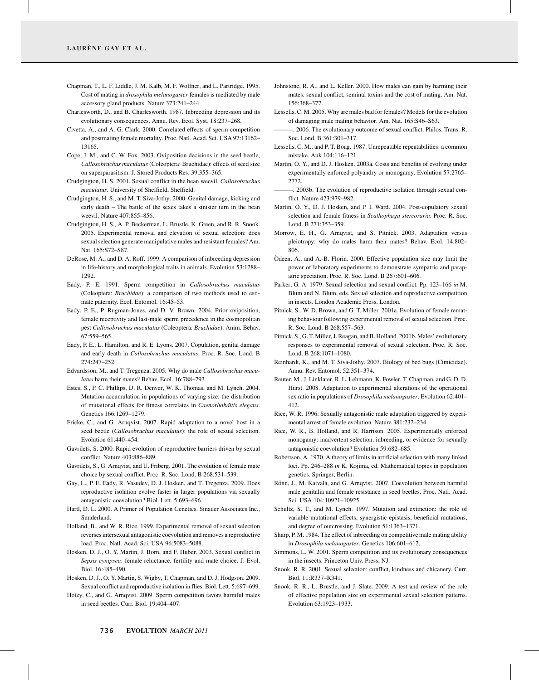- Chapman, T., L. F. Liddle, J. M. Kalb, M. F. Wolfner, and L. Partridge. 1995. Cost of mating in *drosophila melanogaster* females is mediated by male accessory gland products. Nature 373:241–244.
- Charlesworth, D., and B. Charlesworth. 1987. Inbreeding depression and its evolutionary consequences. Annu. Rev. Ecol. Syst. 18:237–268.
- Civetta, A., and A. G. Clark. 2000. Correlated effects of sperm competition and postmating female mortality. Proc. Natl. Acad. Sci. USA 97:13162– 13165.
- Cope, J. M., and C. W. Fox. 2003. Oviposition decisions in the seed beetle, *Callosobruchus maculatus* (Coleoptera: Bruchidae): effects of seed size on superparasitism. J. Stored Products Res. 39:355–365.
- Crudgington, H. S. 2001. Sexual conflict in the bean weevil, *Callosobruchus maculatus*. University of Sheffield, Sheffield.
- Crudgington, H. S., and M. T. Siva-Jothy. 2000. Genital damage, kicking and early death – The battle of the sexes takes a sinister turn in the bean weevil. Nature 407:855–856.
- Crudgington, H. S., A. P. Beckerman, L. Brustle, K. Green, and R. R. Snook. 2005. Experimental removal and elevation of sexual selection: does sexual selection generate manipulative males and resistant females? Am. Nat. 165:S72–S87.
- DeRose, M. A., and D. A. Roff. 1999. A comparison of inbreeding depression in life-history and morphological traits in animals. Evolution 53:1288– 1292.
- Eady, P. E. 1991. Sperm competition in *Callosobruchus maculatus* (Coleoptera: *Bruchidae*): a comparison of two methods used to estimate paternity. Ecol. Entomol. 16:45–53.
- Eady, P. E., P. Rugman-Jones, and D. V. Brown. 2004. Prior oviposition, female receptivity and last-male sperm precedence in the cosmopolitan pest *Callosobruchus maculatus* (Coleoptera: *Bruchidae*). Anim. Behav. 67:559–565.
- Eady, P. E., L. Hamilton, and R. E. Lyons. 2007. Copulation, genital damage and early death in *Callosobruchus maculatus*. Proc. R. Soc. Lond. B 274:247–252.
- Edvardsson, M., and T. Tregenza. 2005. Why do male *Callosobruchus maculatus* harm their mates? Behav. Ecol. 16:788–793.
- Estes, S., P. C. Phillips, D. R. Denver, W. K. Thomas, and M. Lynch. 2004. Mutation accumulation in populations of varying size: the distribution of mutational effects for fitness correlates in *Caenorhabditis elegans*. Genetics 166:1269–1279.
- Fricke, C., and G. Arnqvist. 2007. Rapid adaptation to a novel host in a seed beetle (*Callosobruchus maculatus*): the role of sexual selection. Evolution 61:440–454.
- Gavrilets, S. 2000. Rapid evolution of reproductive barriers driven by sexual conflict. Nature 403:886–889.
- Gavrilets, S., G. Arnqvist, and U. Friberg. 2001. The evolution of female mate choice by sexual conflict. Proc. R. Soc. Lond. B 268:531–539.
- Gay, L., P. E. Eady, R. Vasudev, D. J. Hosken, and T. Tregenza. 2009. Does reproductive isolation evolve faster in larger populations via sexually antagonistic coevolution? Biol. Lett. 5:693–696.
- Hartl, D. L. 2000. A Primer of Population Genetics. Sinauer Associates Inc., **Sunderland**
- Holland, B., and W. R. Rice. 1999. Experimental removal of sexual selection reverses intersexual antagonistic coevolution and removes a reproductive load. Proc. Natl. Acad. Sci. USA 96:5083–5088.
- Hosken, D. J., O. Y. Martin, J. Born, and F. Huber. 2003. Sexual conflict in *Sepsis cynipsea*: female reluctance, fertility and mate choice. J. Evol. Biol. 16:485–490.
- Hosken, D. J., O. Y. Martin, S. Wigby, T. Chapman, and D. J. Hodgson. 2009. Sexual conflict and reproductive isolation in flies. Biol. Lett. 5:697–699.
- Hotzy, C., and G. Arnqvist. 2009. Sperm competition favors harmful males in seed beetles. Curr. Biol. 19:404–407.
- Johnstone, R. A., and L. Keller. 2000. How males can gain by harming their mates: sexual conflict, seminal toxins and the cost of mating. Am. Nat. 156:368–377.
- Lessells, C. M. 2005. Why are males bad for females? Models for the evolution of damaging male mating behavior. Am. Nat. 165:S46–S63.
- -. 2006. The evolutionary outcome of sexual conflict. Philos. Trans. R. Soc. Lond. B 361:301–317.
- Lessells, C. M., and P. T. Boag. 1987. Unrepeatable repeatabilities: a common mistake. Auk 104:116–121.
- Martin, O. Y., and D. J. Hosken. 2003a. Costs and benefits of evolving under experimentally enforced polyandry or monogamy. Evolution 57:2765– 2772.
- ———. 2003b. The evolution of reproductive isolation through sexual conflict. Nature 423:979–982.
- Martin, O. Y., D. J. Hosken, and P. I. Ward. 2004. Post-copulatory sexual selection and female fitness in *Scathophaga stercoraria*. Proc. R. Soc. Lond. B 271:353–359.
- Morrow, E. H., G. Arnqvist, and S. Pitnick. 2003. Adaptation versus pleiotropy: why do males harm their mates? Behav. Ecol. 14:802– 806.
- Ödeen, A., and A.-B. Florin. 2000. Effective population size may limit the power of laboratory experiments to demonstrate sympatric and parapatric speciation. Proc. R. Soc. Lond. B 267:601–606.
- Parker, G. A. 1979. Sexual selection and sexual conflict. Pp. 123–166 *in* M. Blum and N. Blum, eds. Sexual selection and reproductive competition in insects. London Academic Press, London.
- Pitnick, S., W. D. Brown, and G. T. Miller. 2001a. Evolution of female remating behaviour following experimental removal of sexual selection. Proc. R. Soc. Lond. B 268:557–563.
- Pitnick, S., G. T. Miller, J. Reagan, and B. Holland. 2001b. Males' evolutionary responses to experimental removal of sexual selection. Proc. R. Soc. Lond. B 268:1071–1080.
- Reinhardt, K., and M. T. Siva-Jothy. 2007. Biology of bed bugs (Cimicidae). Annu. Rev. Entomol. 52:351–374.
- Reuter, M., J. Linklater, R. L. Lehmann, K. Fowler, T. Chapman, and G. D. D. Hurst. 2008. Adaptation to experimental alterations of the operational sex ratio in populations of *Drosophila melanogaster*. Evolution 62:401– 412.
- Rice, W. R. 1996. Sexually antagonistic male adaptation triggered by experimental arrest of female evolution. Nature 381:232–234.
- Rice, W. R., B. Holland, and R. Harrison. 2005. Experimentally enforced monogamy: inadvertent selection, inbreeding, or evidence for sexually antagonistic coevolution? Evolution 59:682–685.
- Robertson, A. 1970. A theory of limits in artificial selection with many linked loci. Pp. 246–288 *in* K. Kojima, ed. Mathematical topics in population genetics. Springer, Berlin.
- Rönn, J., M. Katvala, and G. Arnqvist. 2007. Coevolution between harmful male genitalia and female resistance in seed beetles. Proc. Natl. Acad. Sci. USA 104:10921–10925.
- Schultz, S. T., and M. Lynch. 1997. Mutation and extinction: the role of variable mutational effects, synergistic epistasis, beneficial mutations, and degree of outcrossing. Evolution 51:1363–1371.
- Sharp, P. M. 1984. The effect of inbreeding on competitive male mating ability in *Drosophila melanogaster*. Genetics 106:601–612.
- Simmons, L. W. 2001. Sperm competition and its evolutionary consequences in the insects. Princeton Univ. Press, NJ.
- Snook, R. R. 2001. Sexual selection: conflict, kindness and chicanery. Curr. Biol. 11:R337–R341.
- Snook, R. R., L. Brustle, and J. Slate. 2009. A test and review of the role of effective population size on experimental sexual selection patterns. Evolution 63:1923–1933.